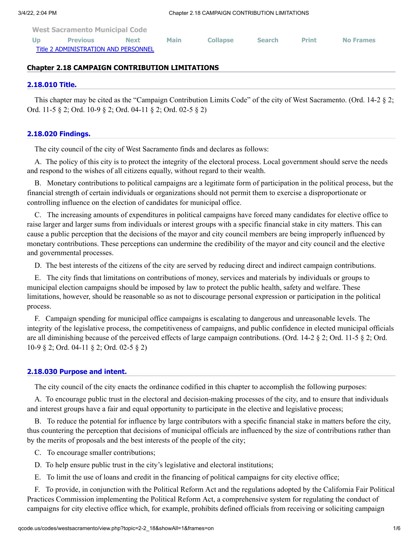| <b>West Sacramento Municipal Code</b> |                 |             |             |                 |               |              |                  |
|---------------------------------------|-----------------|-------------|-------------|-----------------|---------------|--------------|------------------|
| Up                                    | <b>Previous</b> | <b>Next</b> | <b>Main</b> | <b>Collapse</b> | <b>Search</b> | <b>Print</b> | <b>No Frames</b> |
| Title 2 ADMINISTRATION AND PERSONNEL  |                 |             |             |                 |               |              |                  |

## **Chapter 2.18 CAMPAIGN CONTRIBUTION LIMITATIONS**

#### **[2.18.010 Title.](http://qcode.us/codes/westsacramento/view.php?topic=2-2_18-2_18_010&frames=on)**

This chapter may be cited as the "Campaign Contribution Limits Code" of the city of West Sacramento. (Ord. 14-2 § 2; Ord. 11-5 § 2; Ord. 10-9 § 2; Ord. 04-11 § 2; Ord. 02-5 § 2)

### **[2.18.020 Findings.](http://qcode.us/codes/westsacramento/view.php?topic=2-2_18-2_18_020&frames=on)**

The city council of the city of West Sacramento finds and declares as follows:

A. The policy of this city is to protect the integrity of the electoral process. Local government should serve the needs and respond to the wishes of all citizens equally, without regard to their wealth.

B. Monetary contributions to political campaigns are a legitimate form of participation in the political process, but the financial strength of certain individuals or organizations should not permit them to exercise a disproportionate or controlling influence on the election of candidates for municipal office.

C. The increasing amounts of expenditures in political campaigns have forced many candidates for elective office to raise larger and larger sums from individuals or interest groups with a specific financial stake in city matters. This can cause a public perception that the decisions of the mayor and city council members are being improperly influenced by monetary contributions. These perceptions can undermine the credibility of the mayor and city council and the elective and governmental processes.

D. The best interests of the citizens of the city are served by reducing direct and indirect campaign contributions.

E. The city finds that limitations on contributions of money, services and materials by individuals or groups to municipal election campaigns should be imposed by law to protect the public health, safety and welfare. These limitations, however, should be reasonable so as not to discourage personal expression or participation in the political process.

F. Campaign spending for municipal office campaigns is escalating to dangerous and unreasonable levels. The integrity of the legislative process, the competitiveness of campaigns, and public confidence in elected municipal officials are all diminishing because of the perceived effects of large campaign contributions. (Ord. 14-2 § 2; Ord. 11-5 § 2; Ord. 10-9 § 2; Ord. 04-11 § 2; Ord. 02-5 § 2)

#### **[2.18.030 Purpose and intent.](http://qcode.us/codes/westsacramento/view.php?topic=2-2_18-2_18_030&frames=on)**

The city council of the city enacts the ordinance codified in this chapter to accomplish the following purposes:

A. To encourage public trust in the electoral and decision-making processes of the city, and to ensure that individuals and interest groups have a fair and equal opportunity to participate in the elective and legislative process;

B. To reduce the potential for influence by large contributors with a specific financial stake in matters before the city, thus countering the perception that decisions of municipal officials are influenced by the size of contributions rather than by the merits of proposals and the best interests of the people of the city;

C. To encourage smaller contributions;

D. To help ensure public trust in the city's legislative and electoral institutions;

E. To limit the use of loans and credit in the financing of political campaigns for city elective office;

F. To provide, in conjunction with the Political Reform Act and the regulations adopted by the California Fair Political Practices Commission implementing the Political Reform Act, a comprehensive system for regulating the conduct of campaigns for city elective office which, for example, prohibits defined officials from receiving or soliciting campaign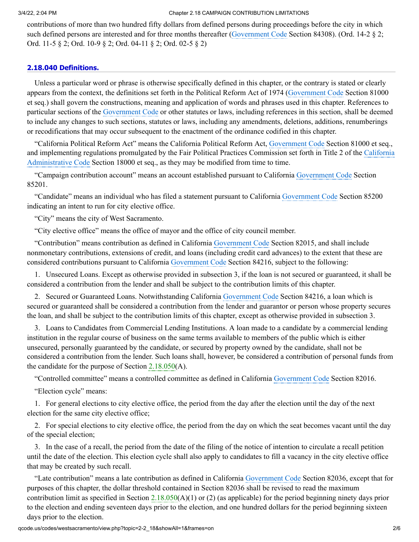#### 3/4/22, 2:04 PM Chapter 2.18 CAMPAIGN CONTRIBUTION LIMITATIONS

contributions of more than two hundred fifty dollars from defined persons during proceedings before the city in which such defined persons are interested and for three months thereafter ([Government](http://qcode.us/codes/othercode.php?state=ca&code=gov) Code Section 84308). (Ord. 14-2 § 2; Ord. 11-5 § 2; Ord. 10-9 § 2; Ord. 04-11 § 2; Ord. 02-5 § 2)

## **[2.18.040 Definitions.](http://qcode.us/codes/westsacramento/view.php?topic=2-2_18-2_18_040&frames=on)**

Unless a particular word or phrase is otherwise specifically defined in this chapter, or the contrary is stated or clearly appears from the context, the definitions set forth in the Political Reform Act of 1974 [\(Government](http://qcode.us/codes/othercode.php?state=ca&code=gov) Code Section 81000 et seq.) shall govern the constructions, meaning and application of words and phrases used in this chapter. References to particular sections of the [Government](http://qcode.us/codes/othercode.php?state=ca&code=gov) Code or other statutes or laws, including references in this section, shall be deemed to include any changes to such sections, statutes or laws, including any amendments, deletions, additions, renumberings or recodifications that may occur subsequent to the enactment of the ordinance codified in this chapter.

"California Political Reform Act" means the California Political Reform Act, [Government](http://qcode.us/codes/othercode.php?state=ca&code=gov) Code Section 81000 et seq., and implementing regulations promulgated by the Fair Political Practices Commission set forth in Title 2 of the California [Administrative](http://qcode.us/codes/othercode.php?state=ca&code=caladm) Code Section 18000 et seq., as they may be modified from time to time.

"Campaign contribution account" means an account established pursuant to California [Government](http://qcode.us/codes/othercode.php?state=ca&code=gov) Code Section 85201.

"Candidate" means an individual who has filed a statement pursuant to California [Government](http://qcode.us/codes/othercode.php?state=ca&code=gov) Code Section 85200 indicating an intent to run for city elective office.

"City" means the city of West Sacramento.

"City elective office" means the office of mayor and the office of city council member.

"Contribution" means contribution as defined in California [Government](http://qcode.us/codes/othercode.php?state=ca&code=gov) Code Section 82015, and shall include nonmonetary contributions, extensions of credit, and loans (including credit card advances) to the extent that these are considered contributions pursuant to California [Government](http://qcode.us/codes/othercode.php?state=ca&code=gov) Code Section 84216, subject to the following:

1. Unsecured Loans. Except as otherwise provided in subsection 3, if the loan is not secured or guaranteed, it shall be considered a contribution from the lender and shall be subject to the contribution limits of this chapter.

2. Secured or Guaranteed Loans. Notwithstanding California [Government](http://qcode.us/codes/othercode.php?state=ca&code=gov) Code Section 84216, a loan which is secured or guaranteed shall be considered a contribution from the lender and guarantor or person whose property secures the loan, and shall be subject to the contribution limits of this chapter, except as otherwise provided in subsection 3.

3. Loans to Candidates from Commercial Lending Institutions. A loan made to a candidate by a commercial lending institution in the regular course of business on the same terms available to members of the public which is either unsecured, personally guaranteed by the candidate, or secured by property owned by the candidate, shall not be considered a contribution from the lender. Such loans shall, however, be considered a contribution of personal funds from the candidate for the purpose of Section  $2.18.050(A)$  $2.18.050(A)$ .

"Controlled committee" means a controlled committee as defined in California [Government](http://qcode.us/codes/othercode.php?state=ca&code=gov) Code Section 82016.

"Election cycle" means:

1. For general elections to city elective office, the period from the day after the election until the day of the next election for the same city elective office;

2. For special elections to city elective office, the period from the day on which the seat becomes vacant until the day of the special election;

3. In the case of a recall, the period from the date of the filing of the notice of intention to circulate a recall petition until the date of the election. This election cycle shall also apply to candidates to fill a vacancy in the city elective office that may be created by such recall.

"Late contribution" means a late contribution as defined in California [Government](http://qcode.us/codes/othercode.php?state=ca&code=gov) Code Section 82036, except that for purposes of this chapter, the dollar threshold contained in Section 82036 shall be revised to read the maximum contribution limit as specified in Section [2.18.050](http://qcode.us/codes/westsacramento/view.php?cite=section_2.18.050&confidence=6)(A)(1) or (2) (as applicable) for the period beginning ninety days prior to the election and ending seventeen days prior to the election, and one hundred dollars for the period beginning sixteen days prior to the election.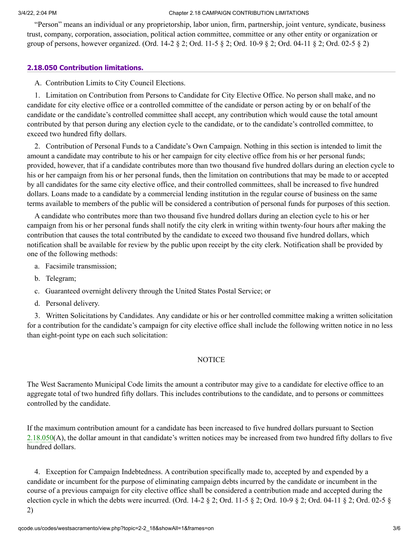#### 3/4/22, 2:04 PM Chapter 2.18 CAMPAIGN CONTRIBUTION LIMITATIONS

"Person" means an individual or any proprietorship, labor union, firm, partnership, joint venture, syndicate, business trust, company, corporation, association, political action committee, committee or any other entity or organization or group of persons, however organized. (Ord. 14-2 § 2; Ord. 11-5 § 2; Ord. 10-9 § 2; Ord. 04-11 § 2; Ord. 02-5 § 2)

## **[2.18.050 Contribution limitations.](http://qcode.us/codes/westsacramento/view.php?topic=2-2_18-2_18_050&frames=on)**

A. Contribution Limits to City Council Elections.

1. Limitation on Contribution from Persons to Candidate for City Elective Office. No person shall make, and no candidate for city elective office or a controlled committee of the candidate or person acting by or on behalf of the candidate or the candidate's controlled committee shall accept, any contribution which would cause the total amount contributed by that person during any election cycle to the candidate, or to the candidate's controlled committee, to exceed two hundred fifty dollars.

2. Contribution of Personal Funds to a Candidate's Own Campaign. Nothing in this section is intended to limit the amount a candidate may contribute to his or her campaign for city elective office from his or her personal funds; provided, however, that if a candidate contributes more than two thousand five hundred dollars during an election cycle to his or her campaign from his or her personal funds, then the limitation on contributions that may be made to or accepted by all candidates for the same city elective office, and their controlled committees, shall be increased to five hundred dollars. Loans made to a candidate by a commercial lending institution in the regular course of business on the same terms available to members of the public will be considered a contribution of personal funds for purposes of this section.

A candidate who contributes more than two thousand five hundred dollars during an election cycle to his or her campaign from his or her personal funds shall notify the city clerk in writing within twenty-four hours after making the contribution that causes the total contributed by the candidate to exceed two thousand five hundred dollars, which notification shall be available for review by the public upon receipt by the city clerk. Notification shall be provided by one of the following methods:

- a. Facsimile transmission;
- b. Telegram;
- c. Guaranteed overnight delivery through the United States Postal Service; or
- d. Personal delivery.

3. Written Solicitations by Candidates. Any candidate or his or her controlled committee making a written solicitation for a contribution for the candidate's campaign for city elective office shall include the following written notice in no less than eight-point type on each such solicitation:

## **NOTICE**

The West Sacramento Municipal Code limits the amount a contributor may give to a candidate for elective office to an aggregate total of two hundred fifty dollars. This includes contributions to the candidate, and to persons or committees controlled by the candidate.

If the maximum contribution amount for a candidate has been increased to five hundred dollars pursuant to Section [2.18.050\(](http://qcode.us/codes/westsacramento/view.php?cite=section_2.18.050&confidence=6)A), the dollar amount in that candidate's written notices may be increased from two hundred fifty dollars to five hundred dollars.

4. Exception for Campaign Indebtedness. A contribution specifically made to, accepted by and expended by a candidate or incumbent for the purpose of eliminating campaign debts incurred by the candidate or incumbent in the course of a previous campaign for city elective office shall be considered a contribution made and accepted during the election cycle in which the debts were incurred. (Ord. 14-2  $\S$  2; Ord. 11-5  $\S$  2; Ord. 10-9  $\S$  2; Ord. 04-11  $\S$  2; Ord. 02-5  $\S$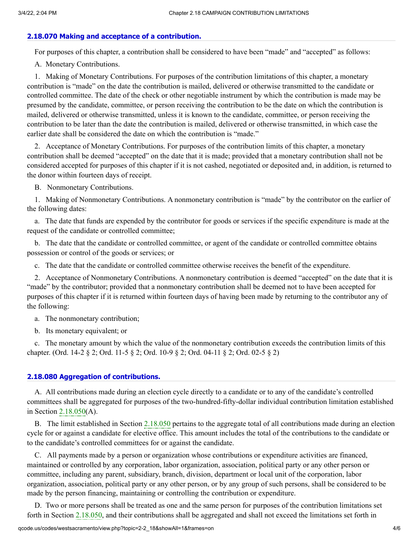## **[2.18.070 Making and acceptance of a contribution.](http://qcode.us/codes/westsacramento/view.php?topic=2-2_18-2_18_070&frames=on)**

For purposes of this chapter, a contribution shall be considered to have been "made" and "accepted" as follows:

A. Monetary Contributions.

1. Making of Monetary Contributions. For purposes of the contribution limitations of this chapter, a monetary contribution is "made" on the date the contribution is mailed, delivered or otherwise transmitted to the candidate or controlled committee. The date of the check or other negotiable instrument by which the contribution is made may be presumed by the candidate, committee, or person receiving the contribution to be the date on which the contribution is mailed, delivered or otherwise transmitted, unless it is known to the candidate, committee, or person receiving the contribution to be later than the date the contribution is mailed, delivered or otherwise transmitted, in which case the earlier date shall be considered the date on which the contribution is "made."

2. Acceptance of Monetary Contributions. For purposes of the contribution limits of this chapter, a monetary contribution shall be deemed "accepted" on the date that it is made; provided that a monetary contribution shall not be considered accepted for purposes of this chapter if it is not cashed, negotiated or deposited and, in addition, is returned to the donor within fourteen days of receipt.

B. Nonmonetary Contributions.

1. Making of Nonmonetary Contributions. A nonmonetary contribution is "made" by the contributor on the earlier of the following dates:

a. The date that funds are expended by the contributor for goods or services if the specific expenditure is made at the request of the candidate or controlled committee;

b. The date that the candidate or controlled committee, or agent of the candidate or controlled committee obtains possession or control of the goods or services; or

c. The date that the candidate or controlled committee otherwise receives the benefit of the expenditure.

2. Acceptance of Nonmonetary Contributions. A nonmonetary contribution is deemed "accepted" on the date that it is "made" by the contributor; provided that a nonmonetary contribution shall be deemed not to have been accepted for purposes of this chapter if it is returned within fourteen days of having been made by returning to the contributor any of the following:

a. The nonmonetary contribution;

b. Its monetary equivalent; or

c. The monetary amount by which the value of the nonmonetary contribution exceeds the contribution limits of this chapter. (Ord. 14-2 § 2; Ord. 11-5 § 2; Ord. 10-9 § 2; Ord. 04-11 § 2; Ord. 02-5 § 2)

## **[2.18.080 Aggregation of contributions.](http://qcode.us/codes/westsacramento/view.php?topic=2-2_18-2_18_080&frames=on)**

A. All contributions made during an election cycle directly to a candidate or to any of the candidate's controlled committees shall be aggregated for purposes of the two-hundred-fifty-dollar individual contribution limitation established in Section [2.18.050](http://qcode.us/codes/westsacramento/view.php?cite=section_2.18.050&confidence=6)(A).

B. The limit established in Section [2.18.050](http://qcode.us/codes/westsacramento/view.php?cite=section_2.18.050&confidence=6) pertains to the aggregate total of all contributions made during an election cycle for or against a candidate for elective office. This amount includes the total of the contributions to the candidate or to the candidate's controlled committees for or against the candidate.

C. All payments made by a person or organization whose contributions or expenditure activities are financed, maintained or controlled by any corporation, labor organization, association, political party or any other person or committee, including any parent, subsidiary, branch, division, department or local unit of the corporation, labor organization, association, political party or any other person, or by any group of such persons, shall be considered to be made by the person financing, maintaining or controlling the contribution or expenditure.

D. Two or more persons shall be treated as one and the same person for purposes of the contribution limitations set forth in Section [2.18.050](http://qcode.us/codes/westsacramento/view.php?cite=section_2.18.050&confidence=6), and their contributions shall be aggregated and shall not exceed the limitations set forth in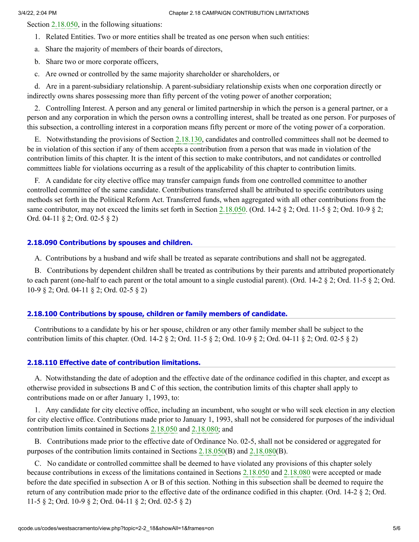Section [2.18.050,](http://qcode.us/codes/westsacramento/view.php?cite=section_2.18.050&confidence=6) in the following situations:

- 1. Related Entities. Two or more entities shall be treated as one person when such entities:
- a. Share the majority of members of their boards of directors,
- b. Share two or more corporate officers,
- c. Are owned or controlled by the same majority shareholder or shareholders, or

d. Are in a parent-subsidiary relationship. A parent-subsidiary relationship exists when one corporation directly or indirectly owns shares possessing more than fifty percent of the voting power of another corporation;

2. Controlling Interest. A person and any general or limited partnership in which the person is a general partner, or a person and any corporation in which the person owns a controlling interest, shall be treated as one person. For purposes of this subsection, a controlling interest in a corporation means fifty percent or more of the voting power of a corporation.

E. Notwithstanding the provisions of Section [2.18.130](http://qcode.us/codes/westsacramento/view.php?cite=section_2.18.130&confidence=6), candidates and controlled committees shall not be deemed to be in violation of this section if any of them accepts a contribution from a person that was made in violation of the contribution limits of this chapter. It is the intent of this section to make contributors, and not candidates or controlled committees liable for violations occurring as a result of the applicability of this chapter to contribution limits.

F. A candidate for city elective office may transfer campaign funds from one controlled committee to another controlled committee of the same candidate. Contributions transferred shall be attributed to specific contributors using methods set forth in the Political Reform Act. Transferred funds, when aggregated with all other contributions from the same contributor, may not exceed the limits set forth in Section [2.18.050](http://qcode.us/codes/westsacramento/view.php?cite=section_2.18.050&confidence=6). (Ord. 14-2  $\S$  2; Ord. 11-5  $\S$  2; Ord. 10-9  $\S$  2; Ord. 04-11 § 2; Ord. 02-5 § 2)

## **[2.18.090 Contributions by spouses and children.](http://qcode.us/codes/westsacramento/view.php?topic=2-2_18-2_18_090&frames=on)**

A. Contributions by a husband and wife shall be treated as separate contributions and shall not be aggregated.

B. Contributions by dependent children shall be treated as contributions by their parents and attributed proportionately to each parent (one-half to each parent or the total amount to a single custodial parent). (Ord. 14-2  $\S$  2; Ord. 11-5  $\S$  2; Ord. 10-9 § 2; Ord. 04-11 § 2; Ord. 02-5 § 2)

## **[2.18.100 Contributions by spouse, children or family members of candidate.](http://qcode.us/codes/westsacramento/view.php?topic=2-2_18-2_18_100&frames=on)**

Contributions to a candidate by his or her spouse, children or any other family member shall be subject to the contribution limits of this chapter. (Ord. 14-2 § 2; Ord. 11-5 § 2; Ord. 10-9 § 2; Ord. 04-11 § 2; Ord. 02-5 § 2)

## **[2.18.110 Effective date of contribution limitations.](http://qcode.us/codes/westsacramento/view.php?topic=2-2_18-2_18_110&frames=on)**

A. Notwithstanding the date of adoption and the effective date of the ordinance codified in this chapter, and except as otherwise provided in subsections B and C of this section, the contribution limits of this chapter shall apply to contributions made on or after January 1, 1993, to:

1. Any candidate for city elective office, including an incumbent, who sought or who will seek election in any election for city elective office. Contributions made prior to January 1, 1993, shall not be considered for purposes of the individual contribution limits contained in Sections [2.18.050](http://qcode.us/codes/westsacramento/view.php?cite=section_2.18.050&confidence=6) and [2.18.080;](http://qcode.us/codes/westsacramento/view.php?cite=section_2.18.080&confidence=6) and

B. Contributions made prior to the effective date of Ordinance No. 02-5, shall not be considered or aggregated for purposes of the contribution limits contained in Sections [2.18.050\(](http://qcode.us/codes/westsacramento/view.php?cite=section_2.18.050&confidence=6)B) and [2.18.080](http://qcode.us/codes/westsacramento/view.php?cite=section_2.18.080&confidence=6)(B).

C. No candidate or controlled committee shall be deemed to have violated any provisions of this chapter solely because contributions in excess of the limitations contained in Sections [2.18.050](http://qcode.us/codes/westsacramento/view.php?cite=section_2.18.050&confidence=6) and [2.18.080](http://qcode.us/codes/westsacramento/view.php?cite=section_2.18.080&confidence=6) were accepted or made before the date specified in subsection A or B of this section. Nothing in this subsection shall be deemed to require the return of any contribution made prior to the effective date of the ordinance codified in this chapter. (Ord. 14-2 § 2; Ord. 11-5 § 2; Ord. 10-9 § 2; Ord. 04-11 § 2; Ord. 02-5 § 2)